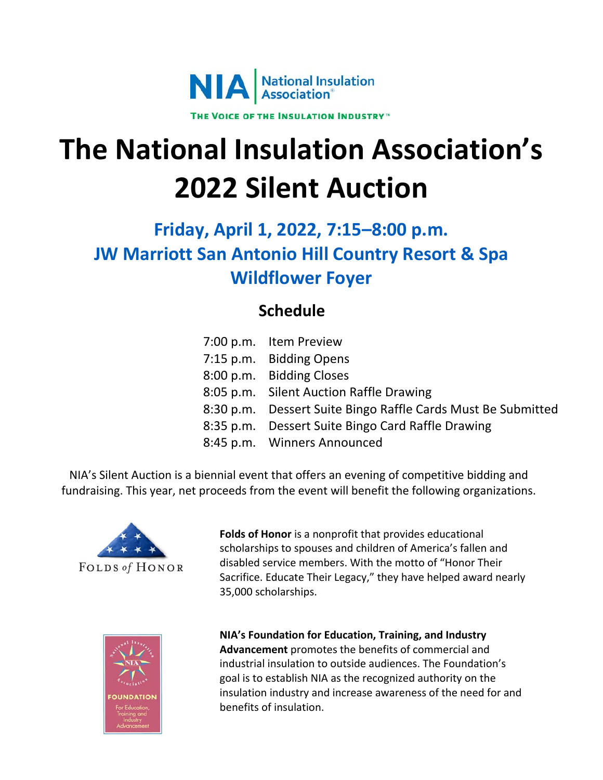

# **The National Insulation Association's 2022 Silent Auction**

# **Friday, April 1, 2022, 7:15–8:00 p.m. JW Marriott San Antonio Hill Country Resort & Spa Wildflower Foyer**

## **Schedule**

| 7:00 p.m. Item Preview                                       |
|--------------------------------------------------------------|
| 7:15 p.m. Bidding Opens                                      |
| 8:00 p.m. Bidding Closes                                     |
| 8:05 p.m. Silent Auction Raffle Drawing                      |
| 8:30 p.m. Dessert Suite Bingo Raffle Cards Must Be Submitted |
| 8:35 p.m. Dessert Suite Bingo Card Raffle Drawing            |
| 8:45 p.m. Winners Announced                                  |
|                                                              |

NIA's Silent Auction is a biennial event that offers an evening of competitive bidding and fundraising. This year, net proceeds from the event will benefit the following organizations.



**Folds of Honor** is a nonprofit that provides educational scholarships to spouses and children of America's fallen and disabled service members. With the motto of "Honor Their Sacrifice. Educate Their Legacy," they have helped award nearly 35,000 scholarships.



**NIA's Foundation for Education, Training, and Industry Advancement** promotes the benefits of commercial and industrial insulation to outside audiences. The Foundation's goal is to establish NIA as the recognized authority on the insulation industry and increase awareness of the need for and benefits of insulation.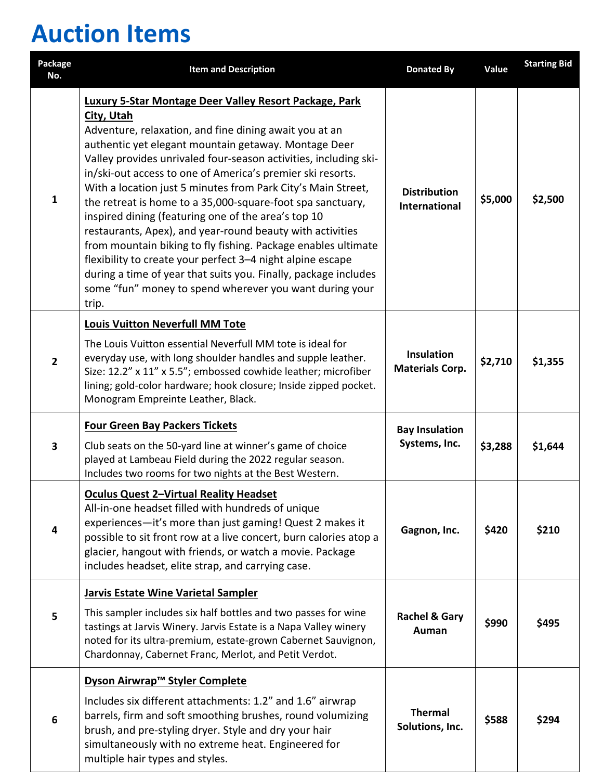# **Auction Items**

| Package<br>No.          | <b>Item and Description</b>                                                                                                                                                                                                                                                                                                                                                                                                                                                                                                                                                                                                                                                                                                                                                                                                                      | <b>Donated By</b>                           | Value   | <b>Starting Bid</b> |
|-------------------------|--------------------------------------------------------------------------------------------------------------------------------------------------------------------------------------------------------------------------------------------------------------------------------------------------------------------------------------------------------------------------------------------------------------------------------------------------------------------------------------------------------------------------------------------------------------------------------------------------------------------------------------------------------------------------------------------------------------------------------------------------------------------------------------------------------------------------------------------------|---------------------------------------------|---------|---------------------|
| $\mathbf{1}$            | Luxury 5-Star Montage Deer Valley Resort Package, Park<br>City, Utah<br>Adventure, relaxation, and fine dining await you at an<br>authentic yet elegant mountain getaway. Montage Deer<br>Valley provides unrivaled four-season activities, including ski-<br>in/ski-out access to one of America's premier ski resorts.<br>With a location just 5 minutes from Park City's Main Street,<br>the retreat is home to a 35,000-square-foot spa sanctuary,<br>inspired dining (featuring one of the area's top 10<br>restaurants, Apex), and year-round beauty with activities<br>from mountain biking to fly fishing. Package enables ultimate<br>flexibility to create your perfect 3-4 night alpine escape<br>during a time of year that suits you. Finally, package includes<br>some "fun" money to spend wherever you want during your<br>trip. | <b>Distribution</b><br><b>International</b> | \$5,000 | \$2,500             |
|                         | <b>Louis Vuitton Neverfull MM Tote</b>                                                                                                                                                                                                                                                                                                                                                                                                                                                                                                                                                                                                                                                                                                                                                                                                           |                                             |         |                     |
| $\overline{2}$          | The Louis Vuitton essential Neverfull MM tote is ideal for<br>everyday use, with long shoulder handles and supple leather.<br>Size: 12.2" x 11" x 5.5"; embossed cowhide leather; microfiber<br>lining; gold-color hardware; hook closure; Inside zipped pocket.<br>Monogram Empreinte Leather, Black.                                                                                                                                                                                                                                                                                                                                                                                                                                                                                                                                           | <b>Insulation</b><br><b>Materials Corp.</b> | \$2,710 | \$1,355             |
|                         | <b>Four Green Bay Packers Tickets</b>                                                                                                                                                                                                                                                                                                                                                                                                                                                                                                                                                                                                                                                                                                                                                                                                            | <b>Bay Insulation</b>                       |         |                     |
| $\overline{\mathbf{3}}$ | Club seats on the 50-yard line at winner's game of choice<br>played at Lambeau Field during the 2022 regular season.<br>Includes two rooms for two nights at the Best Western.                                                                                                                                                                                                                                                                                                                                                                                                                                                                                                                                                                                                                                                                   | Systems, Inc.                               | \$3,288 | \$1,644             |
| 4                       | <b>Oculus Quest 2-Virtual Reality Headset</b><br>All-in-one headset filled with hundreds of unique<br>experiences-it's more than just gaming! Quest 2 makes it<br>possible to sit front row at a live concert, burn calories atop a<br>glacier, hangout with friends, or watch a movie. Package<br>includes headset, elite strap, and carrying case.                                                                                                                                                                                                                                                                                                                                                                                                                                                                                             | Gagnon, Inc.                                | \$420   | \$210               |
|                         | <b>Jarvis Estate Wine Varietal Sampler</b>                                                                                                                                                                                                                                                                                                                                                                                                                                                                                                                                                                                                                                                                                                                                                                                                       |                                             |         |                     |
| 5                       | This sampler includes six half bottles and two passes for wine<br>tastings at Jarvis Winery. Jarvis Estate is a Napa Valley winery<br>noted for its ultra-premium, estate-grown Cabernet Sauvignon,<br>Chardonnay, Cabernet Franc, Merlot, and Petit Verdot.                                                                                                                                                                                                                                                                                                                                                                                                                                                                                                                                                                                     | <b>Rachel &amp; Gary</b><br>Auman           | \$990   | \$495               |
|                         | Dyson Airwrap™ Styler Complete                                                                                                                                                                                                                                                                                                                                                                                                                                                                                                                                                                                                                                                                                                                                                                                                                   |                                             |         |                     |
| 6                       | Includes six different attachments: 1.2" and 1.6" airwrap<br>barrels, firm and soft smoothing brushes, round volumizing<br>brush, and pre-styling dryer. Style and dry your hair<br>simultaneously with no extreme heat. Engineered for<br>multiple hair types and styles.                                                                                                                                                                                                                                                                                                                                                                                                                                                                                                                                                                       | <b>Thermal</b><br>Solutions, Inc.           | \$588   | \$294               |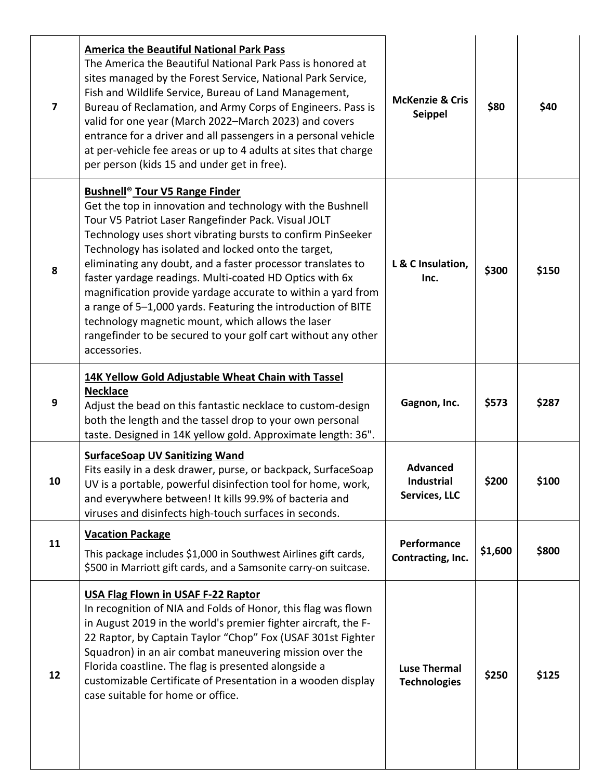| $\overline{7}$ | <b>America the Beautiful National Park Pass</b><br>The America the Beautiful National Park Pass is honored at<br>sites managed by the Forest Service, National Park Service,<br>Fish and Wildlife Service, Bureau of Land Management,<br>Bureau of Reclamation, and Army Corps of Engineers. Pass is<br>valid for one year (March 2022–March 2023) and covers<br>entrance for a driver and all passengers in a personal vehicle<br>at per-vehicle fee areas or up to 4 adults at sites that charge<br>per person (kids 15 and under get in free).                                                                                                                                           | <b>McKenzie &amp; Cris</b><br><b>Seippel</b>          | \$80    | \$40  |
|----------------|---------------------------------------------------------------------------------------------------------------------------------------------------------------------------------------------------------------------------------------------------------------------------------------------------------------------------------------------------------------------------------------------------------------------------------------------------------------------------------------------------------------------------------------------------------------------------------------------------------------------------------------------------------------------------------------------|-------------------------------------------------------|---------|-------|
| 8              | <b>Bushnell<sup>®</sup> Tour V5 Range Finder</b><br>Get the top in innovation and technology with the Bushnell<br>Tour V5 Patriot Laser Rangefinder Pack. Visual JOLT<br>Technology uses short vibrating bursts to confirm PinSeeker<br>Technology has isolated and locked onto the target,<br>eliminating any doubt, and a faster processor translates to<br>faster yardage readings. Multi-coated HD Optics with 6x<br>magnification provide yardage accurate to within a yard from<br>a range of 5-1,000 yards. Featuring the introduction of BITE<br>technology magnetic mount, which allows the laser<br>rangefinder to be secured to your golf cart without any other<br>accessories. | L & C Insulation,<br>Inc.                             | \$300   | \$150 |
| 9              | 14K Yellow Gold Adjustable Wheat Chain with Tassel<br><b>Necklace</b><br>Adjust the bead on this fantastic necklace to custom-design<br>both the length and the tassel drop to your own personal<br>taste. Designed in 14K yellow gold. Approximate length: 36".                                                                                                                                                                                                                                                                                                                                                                                                                            | Gagnon, Inc.                                          | \$573   | \$287 |
| 10             | <b>SurfaceSoap UV Sanitizing Wand</b><br>Fits easily in a desk drawer, purse, or backpack, SurfaceSoap<br>UV is a portable, powerful disinfection tool for home, work,<br>and everywhere between! It kills 99.9% of bacteria and<br>viruses and disinfects high-touch surfaces in seconds.                                                                                                                                                                                                                                                                                                                                                                                                  | <b>Advanced</b><br><b>Industrial</b><br>Services, LLC | \$200   | \$100 |
| 11             | <b>Vacation Package</b><br>This package includes \$1,000 in Southwest Airlines gift cards,<br>\$500 in Marriott gift cards, and a Samsonite carry-on suitcase.                                                                                                                                                                                                                                                                                                                                                                                                                                                                                                                              | Performance<br>Contracting, Inc.                      | \$1,600 | \$800 |
| 12             | <b>USA Flag Flown in USAF F-22 Raptor</b><br>In recognition of NIA and Folds of Honor, this flag was flown<br>in August 2019 in the world's premier fighter aircraft, the F-<br>22 Raptor, by Captain Taylor "Chop" Fox (USAF 301st Fighter<br>Squadron) in an air combat maneuvering mission over the<br>Florida coastline. The flag is presented alongside a<br>customizable Certificate of Presentation in a wooden display<br>case suitable for home or office.                                                                                                                                                                                                                         | <b>Luse Thermal</b><br><b>Technologies</b>            | \$250   | \$125 |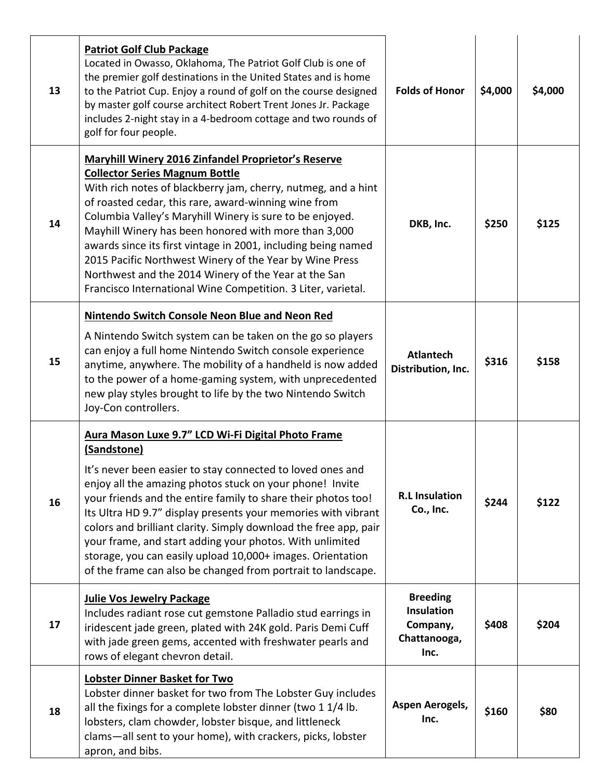| 13 | <b>Patriot Golf Club Package</b><br>Located in Owasso, Oklahoma, The Patriot Golf Club is one of<br>the premier golf destinations in the United States and is home<br>to the Patriot Cup. Enjoy a round of golf on the course designed<br>by master golf course architect Robert Trent Jones Jr. Package                                                                                                                                                                                                                                                                                             | <b>Folds of Honor</b>                                                    | \$4,000 | \$4,000 |
|----|------------------------------------------------------------------------------------------------------------------------------------------------------------------------------------------------------------------------------------------------------------------------------------------------------------------------------------------------------------------------------------------------------------------------------------------------------------------------------------------------------------------------------------------------------------------------------------------------------|--------------------------------------------------------------------------|---------|---------|
|    | includes 2-night stay in a 4-bedroom cottage and two rounds of<br>golf for four people.                                                                                                                                                                                                                                                                                                                                                                                                                                                                                                              |                                                                          |         |         |
| 14 | <b>Maryhill Winery 2016 Zinfandel Proprietor's Reserve</b><br><b>Collector Series Magnum Bottle</b><br>With rich notes of blackberry jam, cherry, nutmeg, and a hint<br>of roasted cedar, this rare, award-winning wine from<br>Columbia Valley's Maryhill Winery is sure to be enjoyed.<br>Mayhill Winery has been honored with more than 3,000<br>awards since its first vintage in 2001, including being named<br>2015 Pacific Northwest Winery of the Year by Wine Press<br>Northwest and the 2014 Winery of the Year at the San<br>Francisco International Wine Competition. 3 Liter, varietal. | DKB, Inc.                                                                | \$250   | \$125   |
| 15 | <b>Nintendo Switch Console Neon Blue and Neon Red</b><br>A Nintendo Switch system can be taken on the go so players<br>can enjoy a full home Nintendo Switch console experience<br>anytime, anywhere. The mobility of a handheld is now added<br>to the power of a home-gaming system, with unprecedented<br>new play styles brought to life by the two Nintendo Switch<br>Joy-Con controllers.                                                                                                                                                                                                      | <b>Atlantech</b><br>Distribution, Inc.                                   | \$316   | \$158   |
| 16 | Aura Mason Luxe 9.7" LCD Wi-Fi Digital Photo Frame<br>(Sandstone)<br>It's never been easier to stay connected to loved ones and<br>enjoy all the amazing photos stuck on your phone! Invite<br>your friends and the entire family to share their photos too!<br>Its Ultra HD 9.7" display presents your memories with vibrant<br>colors and brilliant clarity. Simply download the free app, pair<br>your frame, and start adding your photos. With unlimited<br>storage, you can easily upload 10,000+ images. Orientation<br>of the frame can also be changed from portrait to landscape.          | <b>R.L Insulation</b><br>Co., Inc.                                       | \$244   | \$122   |
| 17 | <b>Julie Vos Jewelry Package</b><br>Includes radiant rose cut gemstone Palladio stud earrings in<br>iridescent jade green, plated with 24K gold. Paris Demi Cuff<br>with jade green gems, accented with freshwater pearls and<br>rows of elegant chevron detail.                                                                                                                                                                                                                                                                                                                                     | <b>Breeding</b><br><b>Insulation</b><br>Company,<br>Chattanooga,<br>Inc. | \$408   | \$204   |
| 18 | Lobster Dinner Basket for Two<br>Lobster dinner basket for two from The Lobster Guy includes<br>all the fixings for a complete lobster dinner (two 1 1/4 lb.<br>lobsters, clam chowder, lobster bisque, and littleneck<br>clams-all sent to your home), with crackers, picks, lobster<br>apron, and bibs.                                                                                                                                                                                                                                                                                            | Aspen Aerogels,<br>Inc.                                                  | \$160   | \$80    |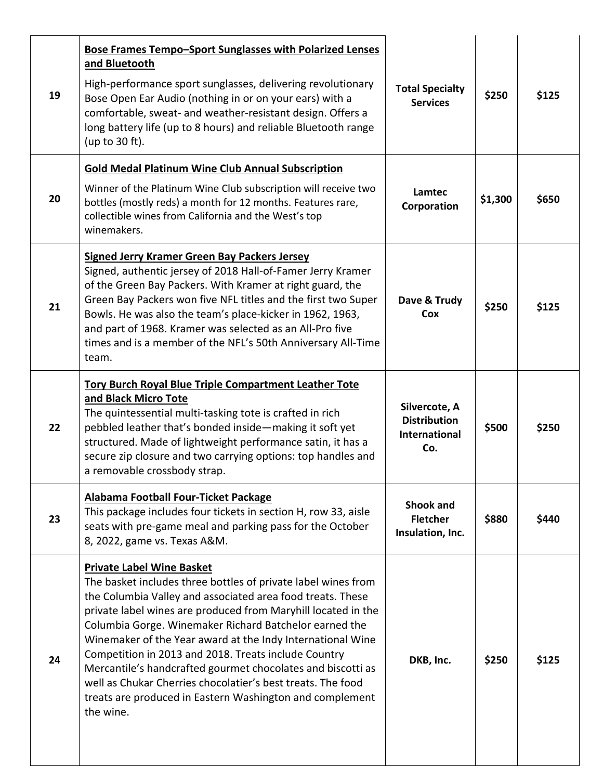| 19 | <b>Bose Frames Tempo-Sport Sunglasses with Polarized Lenses</b><br>and Bluetooth<br>High-performance sport sunglasses, delivering revolutionary<br>Bose Open Ear Audio (nothing in or on your ears) with a<br>comfortable, sweat- and weather-resistant design. Offers a<br>long battery life (up to 8 hours) and reliable Bluetooth range<br>(up to 30 ft).                                                                                                                                                                                                                                                            | <b>Total Specialty</b><br><b>Services</b>                           | \$250   | \$125 |
|----|-------------------------------------------------------------------------------------------------------------------------------------------------------------------------------------------------------------------------------------------------------------------------------------------------------------------------------------------------------------------------------------------------------------------------------------------------------------------------------------------------------------------------------------------------------------------------------------------------------------------------|---------------------------------------------------------------------|---------|-------|
| 20 | <b>Gold Medal Platinum Wine Club Annual Subscription</b><br>Winner of the Platinum Wine Club subscription will receive two<br>bottles (mostly reds) a month for 12 months. Features rare,<br>collectible wines from California and the West's top<br>winemakers.                                                                                                                                                                                                                                                                                                                                                        | Lamtec<br>Corporation                                               | \$1,300 | \$650 |
| 21 | <b>Signed Jerry Kramer Green Bay Packers Jersey</b><br>Signed, authentic jersey of 2018 Hall-of-Famer Jerry Kramer<br>of the Green Bay Packers. With Kramer at right guard, the<br>Green Bay Packers won five NFL titles and the first two Super<br>Bowls. He was also the team's place-kicker in 1962, 1963,<br>and part of 1968. Kramer was selected as an All-Pro five<br>times and is a member of the NFL's 50th Anniversary All-Time<br>team.                                                                                                                                                                      | Dave & Trudy<br>Cox                                                 | \$250   | \$125 |
| 22 | <b>Tory Burch Royal Blue Triple Compartment Leather Tote</b><br>and Black Micro Tote<br>The quintessential multi-tasking tote is crafted in rich<br>pebbled leather that's bonded inside-making it soft yet<br>structured. Made of lightweight performance satin, it has a<br>secure zip closure and two carrying options: top handles and<br>a removable crossbody strap.                                                                                                                                                                                                                                              | Silvercote, A<br><b>Distribution</b><br><b>International</b><br>Co. | \$500   | \$250 |
| 23 | Alabama Football Four-Ticket Package<br>This package includes four tickets in section H, row 33, aisle<br>seats with pre-game meal and parking pass for the October<br>8, 2022, game vs. Texas A&M.                                                                                                                                                                                                                                                                                                                                                                                                                     | <b>Shook and</b><br><b>Fletcher</b><br>Insulation, Inc.             | \$880   | \$440 |
| 24 | <b>Private Label Wine Basket</b><br>The basket includes three bottles of private label wines from<br>the Columbia Valley and associated area food treats. These<br>private label wines are produced from Maryhill located in the<br>Columbia Gorge. Winemaker Richard Batchelor earned the<br>Winemaker of the Year award at the Indy International Wine<br>Competition in 2013 and 2018. Treats include Country<br>Mercantile's handcrafted gourmet chocolates and biscotti as<br>well as Chukar Cherries chocolatier's best treats. The food<br>treats are produced in Eastern Washington and complement<br>the wine. | DKB, Inc.                                                           | \$250   | \$125 |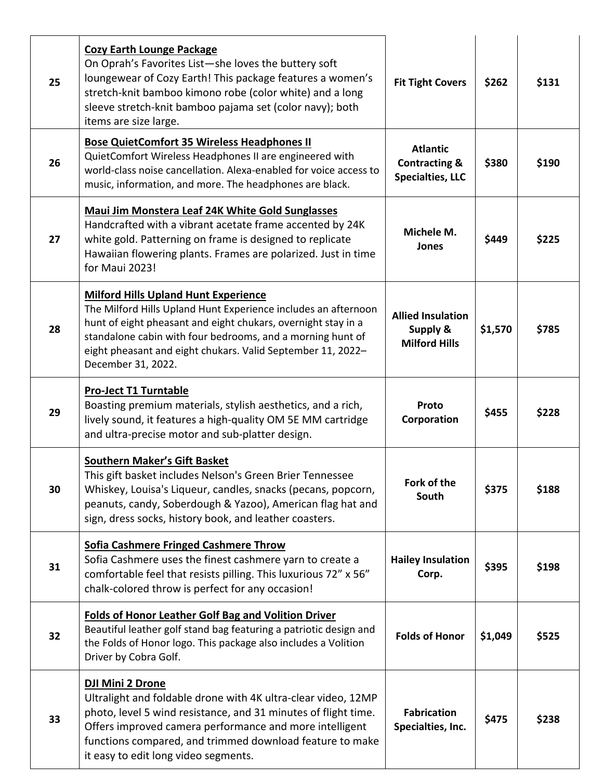| 25 | <b>Cozy Earth Lounge Package</b><br>On Oprah's Favorites List-she loves the buttery soft<br>loungewear of Cozy Earth! This package features a women's<br>stretch-knit bamboo kimono robe (color white) and a long<br>sleeve stretch-knit bamboo pajama set (color navy); both<br>items are size large.                            | <b>Fit Tight Covers</b>                                                | \$262   | \$131 |
|----|-----------------------------------------------------------------------------------------------------------------------------------------------------------------------------------------------------------------------------------------------------------------------------------------------------------------------------------|------------------------------------------------------------------------|---------|-------|
| 26 | <b>Bose QuietComfort 35 Wireless Headphones II</b><br>QuietComfort Wireless Headphones II are engineered with<br>world-class noise cancellation. Alexa-enabled for voice access to<br>music, information, and more. The headphones are black.                                                                                     | <b>Atlantic</b><br><b>Contracting &amp;</b><br><b>Specialties, LLC</b> | \$380   | \$190 |
| 27 | <b>Maui Jim Monstera Leaf 24K White Gold Sunglasses</b><br>Handcrafted with a vibrant acetate frame accented by 24K<br>white gold. Patterning on frame is designed to replicate<br>Hawaiian flowering plants. Frames are polarized. Just in time<br>for Maui 2023!                                                                | Michele M.<br><b>Jones</b>                                             | \$449   | \$225 |
| 28 | <b>Milford Hills Upland Hunt Experience</b><br>The Milford Hills Upland Hunt Experience includes an afternoon<br>hunt of eight pheasant and eight chukars, overnight stay in a<br>standalone cabin with four bedrooms, and a morning hunt of<br>eight pheasant and eight chukars. Valid September 11, 2022-<br>December 31, 2022. | <b>Allied Insulation</b><br>Supply &<br><b>Milford Hills</b>           | \$1,570 | \$785 |
| 29 | <b>Pro-Ject T1 Turntable</b><br>Boasting premium materials, stylish aesthetics, and a rich,<br>lively sound, it features a high-quality OM 5E MM cartridge<br>and ultra-precise motor and sub-platter design.                                                                                                                     | Proto<br>Corporation                                                   | \$455   | \$228 |
| 30 | <b>Southern Maker's Gift Basket</b><br>This gift basket includes Nelson's Green Brier Tennessee<br>Whiskey, Louisa's Liqueur, candles, snacks (pecans, popcorn,<br>peanuts, candy, Soberdough & Yazoo), American flag hat and<br>sign, dress socks, history book, and leather coasters.                                           | Fork of the<br>South                                                   | \$375   | \$188 |
| 31 | Sofia Cashmere Fringed Cashmere Throw<br>Sofia Cashmere uses the finest cashmere yarn to create a<br>comfortable feel that resists pilling. This luxurious 72" x 56"<br>chalk-colored throw is perfect for any occasion!                                                                                                          | <b>Hailey Insulation</b><br>Corp.                                      | \$395   | \$198 |
| 32 | <b>Folds of Honor Leather Golf Bag and Volition Driver</b><br>Beautiful leather golf stand bag featuring a patriotic design and<br>the Folds of Honor logo. This package also includes a Volition<br>Driver by Cobra Golf.                                                                                                        | <b>Folds of Honor</b>                                                  | \$1,049 | \$525 |
| 33 | <b>DJI Mini 2 Drone</b><br>Ultralight and foldable drone with 4K ultra-clear video, 12MP<br>photo, level 5 wind resistance, and 31 minutes of flight time.<br>Offers improved camera performance and more intelligent<br>functions compared, and trimmed download feature to make<br>it easy to edit long video segments.         | <b>Fabrication</b><br>Specialties, Inc.                                | \$475   | \$238 |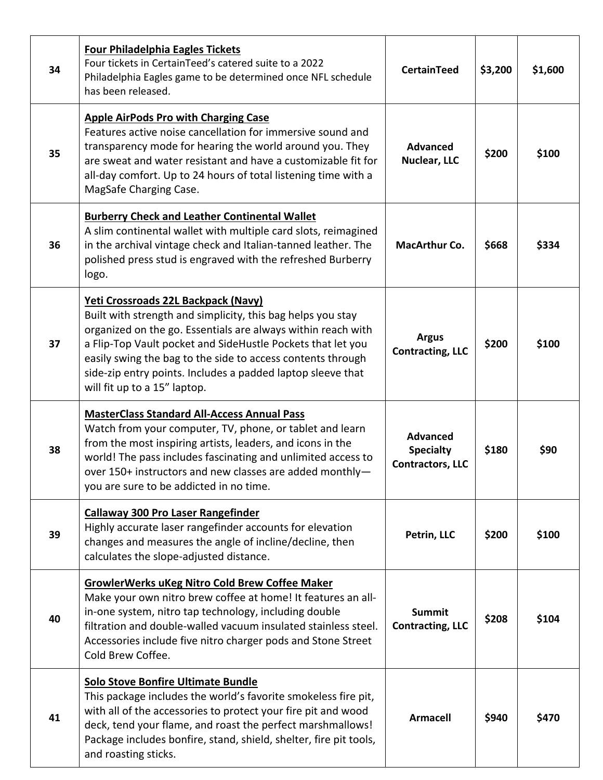| 34 | Four Philadelphia Eagles Tickets<br>Four tickets in CertainTeed's catered suite to a 2022<br>Philadelphia Eagles game to be determined once NFL schedule<br>has been released.                                                                                                                                                                                                                  | <b>CertainTeed</b>                                             | \$3,200 | \$1,600 |
|----|-------------------------------------------------------------------------------------------------------------------------------------------------------------------------------------------------------------------------------------------------------------------------------------------------------------------------------------------------------------------------------------------------|----------------------------------------------------------------|---------|---------|
| 35 | <b>Apple AirPods Pro with Charging Case</b><br>Features active noise cancellation for immersive sound and<br>transparency mode for hearing the world around you. They<br>are sweat and water resistant and have a customizable fit for<br>all-day comfort. Up to 24 hours of total listening time with a<br>MagSafe Charging Case.                                                              | <b>Advanced</b><br>Nuclear, LLC                                | \$200   | \$100   |
| 36 | <b>Burberry Check and Leather Continental Wallet</b><br>A slim continental wallet with multiple card slots, reimagined<br>in the archival vintage check and Italian-tanned leather. The<br>polished press stud is engraved with the refreshed Burberry<br>logo.                                                                                                                                 | <b>MacArthur Co.</b>                                           | \$668   | \$334   |
| 37 | Yeti Crossroads 22L Backpack (Navy)<br>Built with strength and simplicity, this bag helps you stay<br>organized on the go. Essentials are always within reach with<br>a Flip-Top Vault pocket and SideHustle Pockets that let you<br>easily swing the bag to the side to access contents through<br>side-zip entry points. Includes a padded laptop sleeve that<br>will fit up to a 15" laptop. | <b>Argus</b><br><b>Contracting, LLC</b>                        | \$200   | \$100   |
| 38 | <b>MasterClass Standard All-Access Annual Pass</b><br>Watch from your computer, TV, phone, or tablet and learn<br>from the most inspiring artists, leaders, and icons in the<br>world! The pass includes fascinating and unlimited access to<br>over 150+ instructors and new classes are added monthly-<br>you are sure to be addicted in no time.                                             | <b>Advanced</b><br><b>Specialty</b><br><b>Contractors, LLC</b> | \$180   | \$90    |
| 39 | <b>Callaway 300 Pro Laser Rangefinder</b><br>Highly accurate laser rangefinder accounts for elevation<br>changes and measures the angle of incline/decline, then<br>calculates the slope-adjusted distance.                                                                                                                                                                                     | Petrin, LLC                                                    | \$200   | \$100   |
| 40 | <b>GrowlerWerks uKeg Nitro Cold Brew Coffee Maker</b><br>Make your own nitro brew coffee at home! It features an all-<br>in-one system, nitro tap technology, including double<br>filtration and double-walled vacuum insulated stainless steel.<br>Accessories include five nitro charger pods and Stone Street<br>Cold Brew Coffee.                                                           | <b>Summit</b><br><b>Contracting, LLC</b>                       | \$208   | \$104   |
| 41 | <b>Solo Stove Bonfire Ultimate Bundle</b><br>This package includes the world's favorite smokeless fire pit,<br>with all of the accessories to protect your fire pit and wood<br>deck, tend your flame, and roast the perfect marshmallows!<br>Package includes bonfire, stand, shield, shelter, fire pit tools,<br>and roasting sticks.                                                         | <b>Armacell</b>                                                | \$940   | \$470   |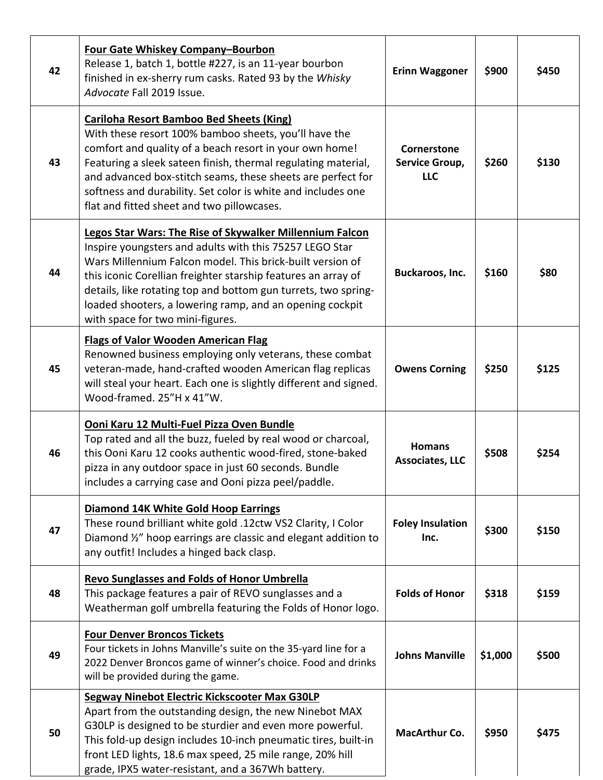| 42 | Four Gate Whiskey Company-Bourbon<br>Release 1, batch 1, bottle #227, is an 11-year bourbon<br>finished in ex-sherry rum casks. Rated 93 by the Whisky<br>Advocate Fall 2019 Issue.                                                                                                                                                                                                                                 | <b>Erinn Waggoner</b>                       | \$900   | \$450 |
|----|---------------------------------------------------------------------------------------------------------------------------------------------------------------------------------------------------------------------------------------------------------------------------------------------------------------------------------------------------------------------------------------------------------------------|---------------------------------------------|---------|-------|
| 43 | <b>Cariloha Resort Bamboo Bed Sheets (King)</b><br>With these resort 100% bamboo sheets, you'll have the<br>comfort and quality of a beach resort in your own home!<br>Featuring a sleek sateen finish, thermal regulating material,<br>and advanced box-stitch seams, these sheets are perfect for<br>softness and durability. Set color is white and includes one<br>flat and fitted sheet and two pillowcases.   | Cornerstone<br>Service Group,<br><b>LLC</b> | \$260   | \$130 |
| 44 | Legos Star Wars: The Rise of Skywalker Millennium Falcon<br>Inspire youngsters and adults with this 75257 LEGO Star<br>Wars Millennium Falcon model. This brick-built version of<br>this iconic Corellian freighter starship features an array of<br>details, like rotating top and bottom gun turrets, two spring-<br>loaded shooters, a lowering ramp, and an opening cockpit<br>with space for two mini-figures. | Buckaroos, Inc.                             | \$160   | \$80  |
| 45 | <b>Flags of Valor Wooden American Flag</b><br>Renowned business employing only veterans, these combat<br>veteran-made, hand-crafted wooden American flag replicas<br>will steal your heart. Each one is slightly different and signed.<br>Wood-framed. 25"H x 41"W.                                                                                                                                                 | <b>Owens Corning</b>                        | \$250   | \$125 |
| 46 | Ooni Karu 12 Multi-Fuel Pizza Oven Bundle<br>Top rated and all the buzz, fueled by real wood or charcoal,<br>this Ooni Karu 12 cooks authentic wood-fired, stone-baked<br>pizza in any outdoor space in just 60 seconds. Bundle<br>includes a carrying case and Ooni pizza peel/paddle.                                                                                                                             | <b>Homans</b><br><b>Associates, LLC</b>     | \$508   | \$254 |
| 47 | <b>Diamond 14K White Gold Hoop Earrings</b><br>These round brilliant white gold .12ctw VS2 Clarity, I Color<br>Diamond 1/2" hoop earrings are classic and elegant addition to<br>any outfit! Includes a hinged back clasp.                                                                                                                                                                                          | <b>Foley Insulation</b><br>Inc.             | \$300   | \$150 |
| 48 | <b>Revo Sunglasses and Folds of Honor Umbrella</b><br>This package features a pair of REVO sunglasses and a<br>Weatherman golf umbrella featuring the Folds of Honor logo.                                                                                                                                                                                                                                          | <b>Folds of Honor</b>                       | \$318   | \$159 |
| 49 | <b>Four Denver Broncos Tickets</b><br>Four tickets in Johns Manville's suite on the 35-yard line for a<br>2022 Denver Broncos game of winner's choice. Food and drinks<br>will be provided during the game.                                                                                                                                                                                                         | <b>Johns Manville</b>                       | \$1,000 | \$500 |
| 50 | <b>Segway Ninebot Electric Kickscooter Max G30LP</b><br>Apart from the outstanding design, the new Ninebot MAX<br>G30LP is designed to be sturdier and even more powerful.<br>This fold-up design includes 10-inch pneumatic tires, built-in<br>front LED lights, 18.6 max speed, 25 mile range, 20% hill<br>grade, IPX5 water-resistant, and a 367Wh battery.                                                      | <b>MacArthur Co.</b>                        | \$950   | \$475 |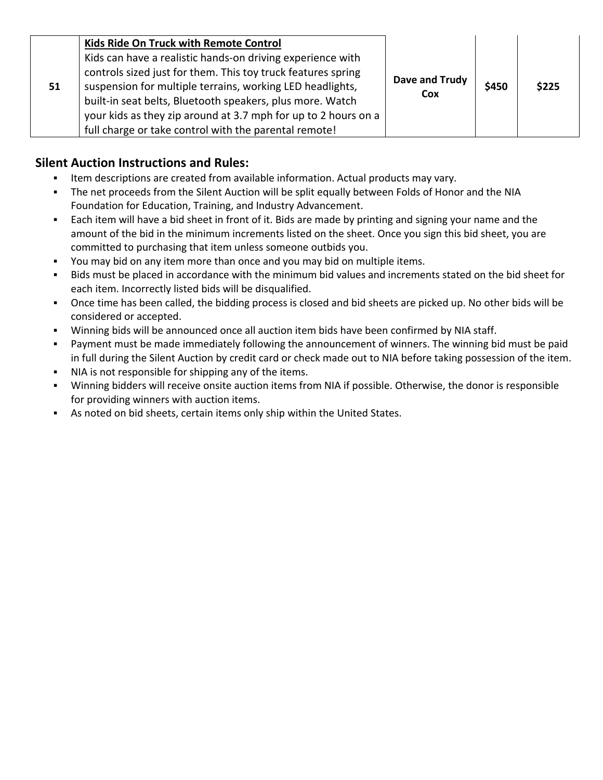|    | Kids Ride On Truck with Remote Control                                                                                                                                                                                                                                                                                 |                       |       |       |
|----|------------------------------------------------------------------------------------------------------------------------------------------------------------------------------------------------------------------------------------------------------------------------------------------------------------------------|-----------------------|-------|-------|
| 51 | Kids can have a realistic hands-on driving experience with<br>controls sized just for them. This toy truck features spring<br>suspension for multiple terrains, working LED headlights,<br>built-in seat belts, Bluetooth speakers, plus more. Watch<br>your kids as they zip around at 3.7 mph for up to 2 hours on a | Dave and Trudy<br>Cox | \$450 | \$225 |
|    | full charge or take control with the parental remote!                                                                                                                                                                                                                                                                  |                       |       |       |

#### **Silent Auction Instructions and Rules:**

- Item descriptions are created from available information. Actual products may vary.
- The net proceeds from the Silent Auction will be split equally between Folds of Honor and the NIA Foundation for Education, Training, and Industry Advancement.
- Each item will have a bid sheet in front of it. Bids are made by printing and signing your name and the amount of the bid in the minimum increments listed on the sheet. Once you sign this bid sheet, you are committed to purchasing that item unless someone outbids you.
- You may bid on any item more than once and you may bid on multiple items.
- Bids must be placed in accordance with the minimum bid values and increments stated on the bid sheet for each item. Incorrectly listed bids will be disqualified.
- Once time has been called, the bidding process is closed and bid sheets are picked up. No other bids will be considered or accepted.
- Winning bids will be announced once all auction item bids have been confirmed by NIA staff.
- Payment must be made immediately following the announcement of winners. The winning bid must be paid in full during the Silent Auction by credit card or check made out to NIA before taking possession of the item.
- NIA is not responsible for shipping any of the items.
- Winning bidders will receive onsite auction items from NIA if possible. Otherwise, the donor is responsible for providing winners with auction items.
- As noted on bid sheets, certain items only ship within the United States.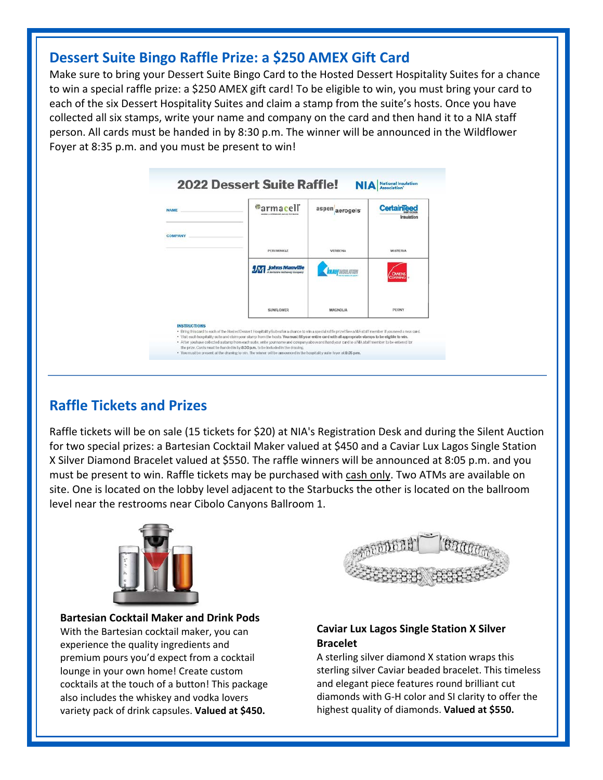#### **Dessert Suite Bingo Raffle Prize: a \$250 AMEX Gift Card**

Make sure to bring your Dessert Suite Bingo Card to the Hosted Dessert Hospitality Suites for a chance to win a special raffle prize: a \$250 AMEX gift card! To be eligible to win, you must bring your card to each of the six Dessert Hospitality Suites and claim a stamp from the suite's hosts. Once you have collected all six stamps, write your name and company on the card and then hand it to a NIA staff person. All cards must be handed in by 8:30 p.m. The winner will be announced in the Wildflower Foyer at 8:35 p.m. and you must be present to win!



#### **Raffle Tickets and Prizes**

Raffle tickets will be on sale (15 tickets for \$20) at NIA's Registration Desk and during the Silent Auction for two special prizes: a Bartesian Cocktail Maker valued at \$450 and a Caviar Lux Lagos Single Station X Silver Diamond Bracelet valued at \$550. The raffle winners will be announced at 8:05 p.m. and you must be present to win. Raffle tickets may be purchased with cash only. Two ATMs are available on site. One is located on the lobby level adjacent to the Starbucks the other is located on the ballroom level near the restrooms near Cibolo Canyons Ballroom 1.



**Bartesian Cocktail Maker and Drink Pods** With the Bartesian cocktail maker, you can experience the quality ingredients and premium pours you'd expect from a cocktail lounge in your own home! Create custom cocktails at the touch of a button! This package also includes the whiskey and vodka lovers variety pack of drink capsules. **Valued at \$450.**

Ī

ׇֺ֖֚֝֬



#### **Caviar Lux Lagos Single Station X Silver Bracelet**

A sterling silver diamond X station wraps this sterling silver Caviar beaded bracelet. This timeless and elegant piece features round brilliant cut diamonds with G-H color and SI clarity to offer the highest quality of diamonds. **Valued at \$550.**